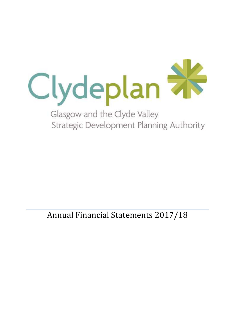

Strategic Development Planning Authority

Annual Financial Statements 2017/18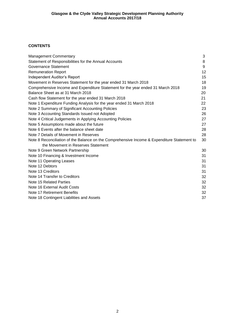### **CONTENTS**

| <b>Management Commentary</b>                                                                | 3  |
|---------------------------------------------------------------------------------------------|----|
| Statement of Responsibilities for the Annual Accounts                                       | 8  |
| Governance Statement                                                                        | 9  |
| <b>Remuneration Report</b>                                                                  | 12 |
| Independent Auditor's Report                                                                | 15 |
| Movement in Reserves Statement for the year ended 31 March 2018                             | 18 |
| Comprehensive Income and Expenditure Statement for the year ended 31 March 2018             | 19 |
| Balance Sheet as at 31 March 2018                                                           | 20 |
| Cash flow Statement for the year ended 31 March 2018                                        | 21 |
| Note 1 Expenditure Funding Analysis for the year ended 31 March 2018                        | 22 |
| Note 2 Summary of Significant Accounting Policies                                           | 23 |
| Note 3 Accounting Standards Issued not Adopted                                              | 26 |
| Note 4 Critical Judgements in Applying Accounting Policies                                  | 27 |
| Note 5 Assumptions made about the future                                                    | 27 |
| Note 6 Events after the balance sheet date                                                  | 28 |
| Note 7 Details of Movement in Reserves                                                      | 28 |
| Note 8 Reconciliation of the Balance on the Comprehensive Income & Expenditure Statement to | 30 |
| the Movement in Reserves Statement                                                          |    |
| Note 9 Green Network Partnership                                                            | 30 |
| Note 10 Financing & Investment Income                                                       | 31 |
| Note 11 Operating Leases                                                                    | 31 |
| Note 12 Debtors                                                                             | 31 |
| Note 13 Creditors                                                                           | 31 |
| Note 14 Transfer to Creditors                                                               | 32 |
| Note 15 Related Parties                                                                     | 32 |
| Note 16 External Audit Costs                                                                | 32 |
| Note 17 Retirement Benefits                                                                 | 32 |
| Note 18 Contingent Liabilities and Assets                                                   | 37 |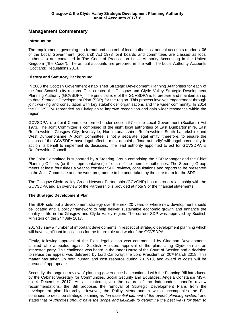# **Management Commentary**

### **Introduction**

The requirements governing the format and content of local authorities' annual accounts (under s106 of the Local Government (Scotland) Act 1973 joint boards and committees are classed as local authorities) are contained in The Code of Practice on Local Authority Accounting in the United Kingdom ("the Code"). The annual accounts are prepared in line with The Local Authority Accounts (Scotland) Regulations 2014.

#### **History and Statutory Background**

In 2008 the Scottish Government established Strategic Development Planning Authorities for each of the four Scottish city regions. This created the Glasgow and Clyde Valley Strategic Development Planning Authority (GCVSDPA). The principal role of the GCVSDPA is to prepare and maintain an up to date Strategic Development Plan (SDP) for the region. This process involves engagement through joint working and consultation with key stakeholder organisations and the wider community. In 2014 the GCVSDPA rebranded as Clydeplan to improve recognition and gain wider resonance within the region.

GCVSDPA is a Joint Committee formed under section 57 of the Local Government (Scotland) Act 1973. The Joint Committee is comprised of the eight local authorities of East Dunbartonshire, East Renfrewshire, Glasgow City, Inverclyde, North Lanarkshire, Renfrewshire, South Lanarkshire and West Dunbartonshire. A Joint Committee is not a separate legal entity, therefore, to ensure the actions of the GCVSDPA have legal effect it must appoint a 'lead authority' with legal personality to act on its behalf to implement its decisions. The lead authority appointed to act for GCVSDPA is Renfrewshire Council.

The Joint Committee is supported by a Steering Group comprising the SDP Manager and the Chief Planning Officers (or their representatives) of each of the member authorities. The Steering Group meets at least four times a year to consider SDP reviews, consultations and reports to be presented to the Joint Committee and the work programme to be undertaken by the core team for the SDP.

The Glasgow Clyde Valley Green Network Partnership (GCVGNP) has a strong relationship with the GCVSDPA and an overview of the Partnership is provided at note 9 of the financial statements.

#### **The Strategic Development Plan**

The SDP sets out a development strategy over the next 20 years of where new development should be located and a policy framework to help deliver sustainable economic growth and enhance the quality of life in the Glasgow and Clyde Valley region. The current SDP was approved by Scottish Ministers on the 24<sup>th</sup> July 2017.

2017/18 saw a number of important developments in respect of strategic development planning which will have significant implications for the future role and work of the GCVSDPA.

Firstly, following approval of the Plan, legal action was commenced by Gladman Developments Limited who appealed against Scottish Ministers approval of the plan, citing Clydeplan as an interested party. This challenge was heard in the Inner House of the Court of Session and a decision to refuse the appeal was delivered by Lord Carloway, the Lord President on 20<sup>th</sup> March 2018. This matter has taken up both human and cost resource during 2017/18, and award of costs will be pursued if appropriate.

Secondly, the ongoing review of planning governance has continued with the Planning Bill introduced by the Cabinet Secretary for Communities, Social Security and Equalities, Angela Constance MSP, on 4 December 2017. As anticipated, given the nature of the independent panel's review recommendations, the Bill proposes the removal of Strategic Development Plans from the development plan hierarchy. However, the Policy Memorandum which accompanies the Bill, continues to describe strategic planning as *"an essential element of the overall planning system"* and states that *"Authorities should have the scope and flexibility to determine the best ways for them to*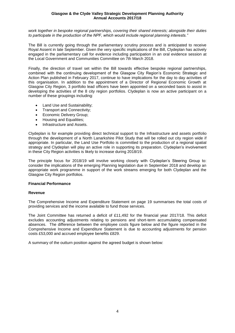*work together in bespoke regional partnerships, covering their shared interests; alongside their duties to participate in the production of the NPF, which would include regional planning interests."* 

The Bill is currently going through the parliamentary scrutiny process and is anticipated to receive Royal Assent in late September. Given the very specific implications of the Bill, Clydeplan has actively engaged in the parliamentary call for evidence including participation in an oral evidence session at the Local Government and Communities Committee on 7th March 2018.

Finally, the direction of travel set within the Bill towards effective bespoke regional partnerships, combined with the continuing development of the Glasgow City Region's Economic Strategic and Action Plan published in February 2017, continue to have implications for the day to day activities of this organisation. In addition to the appointment of a Director of Regional Economic Growth at Glasgow City Region, 3 portfolio lead officers have been appointed on a seconded basis to assist in developing the activities of the 8 city region portfolios. Clydeplan is now an active participant on a number of these groupings including:

- Land Use and Sustainability;
- Transport and Connectivity;
- Economic Delivery Group;
- Housing and Equalities;
- Infrastructure and Assets.

Clydeplan is for example providing direct technical support to the Infrastructure and assets portfolio through the development of a North Lanarkshire Pilot Study that will be rolled out city region wide if appropriate. In particular, the Land Use Portfolio is committed to the production of a regional spatial strategy and Clydeplan will play an active role in supporting its preparation. Clydeplan's involvement in these City Region activities is likely to increase during 2018/19.

The principle focus for 2018/19 will involve working closely with Clydeplan's Steering Group to: consider the implications of the emerging Planning legislation due in September 2018 and develop an appropriate work programme in support of the work streams emerging for both Clydeplan and the Glasgow City Region portfolios.

#### **Financial Performance**

#### **Revenue**

The Comprehensive Income and Expenditure Statement on page 19 summarises the total costs of providing services and the income available to fund those services.

The Joint Committee has returned a deficit of £11,492 for the financial year 2017/18. This deficit excludes accounting adjustments relating to pensions and short-term accumulating compensated absences. The difference between the employee costs figure below and the figure reported in the Comprehensive Income and Expenditure Statement is due to accounting adjustments for pension costs £53,000 and accrued employee benefits £829.

A summary of the outturn position against the agreed budget is shown below: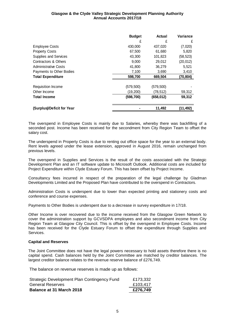|                             | <b>Budget</b> | Actual     | <b>Variance</b> |
|-----------------------------|---------------|------------|-----------------|
|                             | £             | £          | £               |
| <b>Employee Costs</b>       | 430,000       | 437,020    | (7,020)         |
| <b>Property Costs</b>       | 67,500        | 61,680     | 5,820           |
| Supplies and Services       | 43,300        | 101,823    | (58, 523)       |
| Contractors & Others        | 9,000         | 29,012     | (20, 012)       |
| <b>Administrative Costs</b> | 41,800        | 36,279     | 5,521           |
| Payments to Other Bodies    | 7,100         | 3,690      | 3,410           |
| <b>Total Expenditure</b>    | 598,700       | 669,504    | (70, 804)       |
| Requisition Income          | (579, 500)    | (579, 500) |                 |
| Other Income                | (19, 200)     | (78, 512)  | 59,312          |
| <b>Total Income</b>         | (598, 700)    | (658, 012) | 59,312          |
| (Surplus)/Deficit for Year  |               | 11,492     | (11, 492)       |

The overspend in Employee Costs is mainly due to Salaries, whereby there was backfilling of a seconded post. Income has been received for the secondment from City Region Team to offset the salary cost.

The underspend in Property Costs is due to renting out office space for the year to an external body. Rent levels agreed under the lease extension, approved in August 2016, remain unchanged from previous levels.

The overspend in Supplies and Services is the result of the costs associated with the Strategic Development Plan and an IT software update to Microsoft Outlook. Additional costs are included for Project Expenditure within Clyde Estuary Forum. This has been offset by Project Income.

Consultancy fees incurred in respect of the preparation of the legal challenge by Gladman Developments Limited and the Proposed Plan have contributed to the overspend in Contractors.

Administration Costs is underspent due to lower than expected printing and stationery costs and conference and course expenses.

Payments to Other Bodies is underspent due to a decrease in survey expenditure in 17/18.

Other Income is over recovered due to the income received from the Glasgow Green Network to cover the administration support by GCVSDPA employees and also secondment income from City Region Team at Glasgow City Council. This is offset by the overspend in Employee Costs. Income has been received for the Clyde Estuary Forum to offset the expenditure through Supplies and Services.

#### **Capital and Reserves**

The Joint Committee does not have the legal powers necessary to hold assets therefore there is no capital spend. Cash balances held by the Joint Committee are matched by creditor balances. The largest creditor balance relates to the revenue reserve balance of £276,749.

The balance on revenue reserves is made up as follows:

| Balance at 31 March 2018                    | £276,749 |
|---------------------------------------------|----------|
| <b>General Reserves</b>                     | £103.417 |
| Strategic Development Plan Contingency Fund | £173,332 |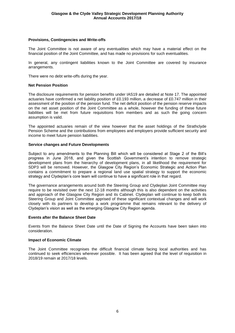#### **Provisions, Contingencies and Write-offs**

The Joint Committee is not aware of any eventualities which may have a material effect on the financial position of the Joint Committee, and has made no provisions for such eventualities.

In general, any contingent liabilities known to the Joint Committee are covered by insurance arrangements.

There were no debt write-offs during the year.

#### **Net Pension Position**

The disclosure requirements for pension benefits under IAS19 are detailed at Note 17. The appointed actuaries have confirmed a net liability position of £0.193 million, a decrease of £0.747 million in their assessment of the position of the pension fund. The net deficit position of the pension reserve impacts on the net asset position of the Joint Committee as a whole, however the funding of these future liabilities will be met from future requisitions from members and as such the going concern assumption is valid.

The appointed actuaries remain of the view however that the asset holdings of the Strathclyde Pension Scheme and the contributions from employees and employers provide sufficient security and income to meet future pension liabilities.

#### **Service changes and Future Developments**

Subject to any amendments to the Planning Bill which will be considered at Stage 2 of the Bill's progress in June 2018, and given the Scottish Government's intention to remove strategic development plans from the hierarchy of development plans, in all likelihood the requirement for SDP3 will be removed. However, the Glasgow City Region's Economic Strategic and Action Plan contains a commitment to prepare a regional land use spatial strategy to support the economic strategy and Clydeplan's core team will continue to have a significant role in that regard.

The governance arrangements around both the Steering Group and Clydeplan Joint Committee may require to be revisited over the next 12-18 months although this is also dependent on the activities and approach of the Glasgow City Region and its Cabinet. Clydeplan will continue to keep both its Steering Group and Joint Committee apprised of these significant contextual changes and will work closely with its partners to develop a work programme that remains relevant to the delivery of Clydeplan's vision as well as the emerging Glasgow City Region agenda.

#### **Events after the Balance Sheet Date**

Events from the Balance Sheet Date until the Date of Signing the Accounts have been taken into consideration.

#### **Impact of Economic Climate**

The Joint Committee recognises the difficult financial climate facing local authorities and has continued to seek efficiencies wherever possible. It has been agreed that the level of requisition in 2018/19 remain at 2017/18 levels.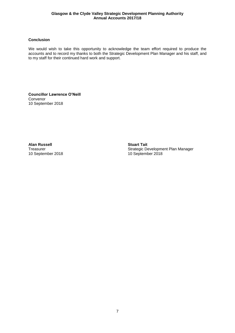### **Conclusion**

We would wish to take this opportunity to acknowledge the team effort required to produce the accounts and to record my thanks to both the Strategic Development Plan Manager and his staff, and to my staff for their continued hard work and support.

**Councillor Lawrence O'Neill** Convenor 10 September 2018

**Alan Russell Stuart Tait** 10 September 2018

Strategic Development Plan Manager<br>10 September 2018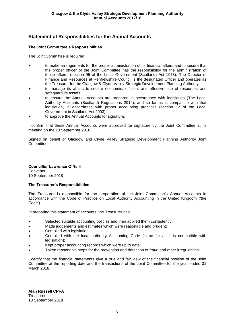# **Statement of Responsibilities for the Annual Accounts**

### **The Joint Committee's Responsibilities**

The Joint Committee is required:

- • to make arrangements for the proper administration of its financial affairs and to secure that the proper officer of the Joint Committee has the responsibility for the administration of those affairs. (section 95 of the Local Government (Scotland) Act 1973). The Director of Finance and Resources at Renfrewshire Council is the designated Officer and operates as the Treasurer for the Glasgow & Clyde Valley Strategic Development Planning Authority;
- • to manage its affairs to secure economic, efficient and effective use of resources and safeguard its assets;
- • to ensure the Annual Accounts are prepared in accordance with legislation (The Local Authority Accounts (Scotland) Regulations 2014), and so far as is compatible with that legislation, in accordance with proper accounting practices (section 12 of the Local Government in Scotland Act 2003);
- •to approve the Annual Accounts for signature.

I confirm that these Annual Accounts were approved for signature by the Joint Committee at its meeting on the 10 September 2018.

Signed on behalf of Glasgow and Clyde Valley Strategic Development Planning Authority Joint Committee:

### **Councillor Lawrence O'Neill**

Convenor 10 September 2018

#### **The Treasurer's Responsibilities**

The Treasurer is responsible for the preparation of the Joint Committee's Annual Accounts in accordance with the Code of Practice on Local Authority Accounting in the United Kingdom ('the Code').

In preparing this statement of accounts, the Treasurer has:

- •Selected suitable accounting policies and then applied them consistently;
- •Made judgements and estimates which were reasonable and prudent;
- •Complied with legislation:
- • Complied with the local authority Accounting Code (in so far as it is compatible with legislation);
- •Kept proper accounting records which were up to date;
- •Taken reasonable steps for the prevention and detection of fraud and other irregularities.

I certify that the financial statements give a true and fair view of the financial position of the Joint Committee at the reporting date and the transactions of the Joint Committee for the year ended 31 March 2018.

**Alan Russell CPFA Treasurer** 10 September 2018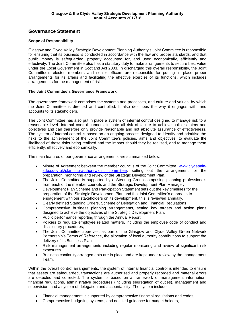# **Governance Statement**

### **Scope of Responsibility**

Glasgow and Clyde Valley Strategic Development Planning Authority's Joint Committee is responsible for ensuring that its business is conducted in accordance with the law and proper standards, and that public money is safeguarded, properly accounted for, and used economically, efficiently and effectively. The Joint Committee also has a statutory duty to make arrangements to secure best value under the Local Government in Scotland Act 2003. In discharging this overall responsibility, the Joint Committee's elected members and senior officers are responsible for putting in place proper arrangements for its affairs and facilitating the effective exercise of its functions, which includes arrangements for the management of risk.

### **The Joint Committee's Governance Framework**

The governance framework comprises the systems and processes, and culture and values, by which the Joint Committee is directed and controlled. It also describes the way it engages with, and accounts to its stakeholders.

The Joint Committee has also put in place a system of internal control designed to manage risk to a reasonable level. Internal control cannot eliminate all risk of failure to achieve policies, aims and objectives and can therefore only provide reasonable and not absolute assurance of effectiveness. The system of internal control is based on an ongoing process designed to identify and prioritise the risks to the achievement of the Joint Committee's policies, aims and objectives, to evaluate the likelihood of those risks being realised and the impact should they be realised, and to manage them efficiently, effectively and economically.

The main features of our governance arrangements are summarised below:

- Minute of Agreement between the member councils of the Joint Committee, [www.clydepaln](http://www.clydepaln-sdpa.gov.uk/planning-authority/joint%20committee)[sdpa.gov.uk/planning-authority/joint committee,](http://www.clydepaln-sdpa.gov.uk/planning-authority/joint%20committee) setting out the arrangement for the preparation, monitoring and review of the Strategic Development Plan,
- The Joint Committee is supported by a Steering Group comprising planning professionals from each of the member councils and the Strategic Development Plan Manager,
- Development Plan Scheme and Participation Statement sets out the key timelines for the preparation of the Strategic Development Plan and the Joint Committee's approach to engagement with our stakeholders on its development, this is reviewed annually,
- Clearly defined Standing Orders, Scheme of Delegation and Financial Regulations,
- Comprehensive business planning arrangements, setting key targets and action plans designed to achieve the objectives of the Strategic Development Plan,
- Public performance reporting through the Annual Report,
- Policies to regulate employee related matters, including the employee code of conduct and disciplinary procedures.
- The Joint Committee approves, as part of the Glasgow and Clyde Valley Green Network Partnership's Terms of Reference, the allocation of local authority contributions to support the delivery of its Business Plan.
- Risk management arrangements including regular monitoring and review of significant risk exposures.
- Business continuity arrangements are in place and are kept under review by the management Team.

Within the overall control arrangements, the system of internal financial control is intended to ensure that assets are safeguarded, transactions are authorised and properly recorded and material errors are detected and corrected. The system is based on a framework of management information, financial regulations, administrative procedures (including segregation of duties), management and supervision, and a system of delegation and accountability. The system includes:

- Financial management is supported by comprehensive financial regulations and codes,
- Comprehensive budgeting systems, and detailed guidance for budget holders,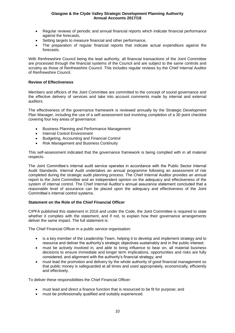- Regular reviews of periodic and annual financial reports which indicate financial performance against the forecasts,
- Setting targets to measure financial and other performance,
- The preparation of regular financial reports that indicate actual expenditure against the forecasts.

With Renfrewshire Council being the lead authority, all financial transactions of the Joint Committee are processed through the financial systems of the Council and are subject to the same controls and scrutiny as those of Renfrewshire Council. This includes regular reviews by the Chief Internal Auditor of Renfrewshire Council.

#### **Review of Effectiveness**

Members and officers of the Joint Committee are committed to the concept of sound governance and the effective delivery of services and take into account comments made by internal and external auditors.

The effectiveness of the governance framework is reviewed annually by the Strategic Development Plan Manager, including the use of a self-assessment tool involving completion of a 30 point checklist covering four key areas of governance:

- Business Planning and Performance Management
- Internal Control Environment
- Budgeting, Accounting and Financial Control
- Risk Management and Business Continuity

This self-assessment indicated that the governance framework is being complied with in all material respects.

The Joint Committee's internal audit service operates in accordance with the Public Sector Internal Audit Standards. Internal Audit undertakes an annual programme following an assessment of risk completed during the strategic audit planning process. The Chief Internal Auditor provides an annual report to the Joint Committee and an independent opinion on the adequacy and effectiveness of the system of internal control. The Chief Internal Auditor's annual assurance statement concluded that a reasonable level of assurance can be placed upon the adequacy and effectiveness of the Joint Committee's internal control systems.

#### **Statement on the Role of the Chief Financial Officer**

CIPFA published this statement in 2016 and under the Code, the Joint Committee is required to state whether it complies with the statement, and if not, to explain how their governance arrangements deliver the same impact. The full statement is:

The Chief Financial Officer in a public service organisation:

- is a key member of the Leadership Team, helping it to develop and implement strategy and to resource and deliver the authority's strategic objectives sustainably and in the public interest;
- must be actively involved in, and able to bring influence to bear on, all material business decisions to ensure immediate and longer term implications, opportunities and risks are fully considered, and alignment with the authority's financial strategy; and
- must lead the promotion and delivery by the whole authority of good financial management so that public money is safeguarded at all times and used appropriately, economically, efficiently and effectively.

To deliver these responsibilities the Chief Financial Officer:

- must lead and direct a finance function that is resourced to be fit for purpose; and
- must be professionally qualified and suitably experienced.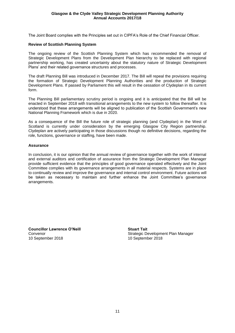The Joint Board complies with the Principles set out in CIPFA's Role of the Chief Financial Officer.

#### **Review of Scottish Planning System**

The ongoing review of the Scottish Planning System which has recommended the removal of Strategic Development Plans from the Development Plan hierarchy to be replaced with regional partnership working, has created uncertainty about the statutory nature of Strategic Development Plans' and their related governance structures and processes.

The draft Planning Bill was introduced in December 2017. The Bill will repeal the provisions requiring the formation of Strategic Development Planning Authorities and the production of Strategic Development Plans. If passed by Parliament this will result in the cessation of Clydeplan in its current form.

The Planning Bill parliamentary scrutiny period is ongoing and it is anticipated that the Bill will be enacted in September 2018 with transitional arrangements to the new system to follow thereafter. It is understood that these arrangements will be aligned to publication of the Scottish Government's new National Planning Framework which is due in 2020.

As a consequence of the Bill the future role of strategic planning (and Clydeplan) in the West of Scotland is currently under consideration by the emerging Glasgow City Region partnership. Clydeplan are actively participating in those discussions though no definitive decisions, regarding the role, functions, governance or staffing, have been made.

#### **Assurance**

In conclusion, it is our opinion that the annual review of governance together with the work of internal and external auditors and certification of assurance from the Strategic Development Plan Manager provide sufficient evidence that the principles of good governance operated effectively and the Joint Committee complies with its governance arrangements in all material respects. Systems are in place to continually review and improve the governance and internal control environment. Future actions will be taken as necessary to maintain and further enhance the Joint Committee's governance arrangements.

**Councillor Lawrence O'Neill Stuart Tait** 10 September 2018 10 September 2018

Convenor **Convention Convention Convention** Strategic Development Plan Manager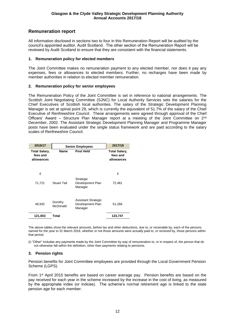# **Remuneration report**

All information disclosed in sections two to four in this Remuneration Report will be audited by the council's appointed auditor, Audit Scotland. The other section of the Remuneration Report will be reviewed by Audit Scotland to ensure that they are consistent with the financial statements.

#### **1. Remuneration policy for elected members**

The Joint Committee makes no remuneration payment to any elected member, nor does it pay any expenses, fees or allowances to elected members. Further, no recharges have been made by member authorities in relation to elected member remuneration.

#### **2. Remuneration policy for senior employees**

The Remuneration Policy of the Joint Committee is set in reference to national arrangements. The Scottish Joint Negotiating Committee (SJNC) for Local Authority Services sets the salaries for the Chief Executives of Scottish local authorities. The salary of the Strategic Development Planning Manager is set at spinal point 29, which is currently the equivalent of 51.7% of the salary of the Chief Executive of Renfrewshire Council. These arrangements were agreed through approval of the Chief Officers' Award – Structure Plan Manager report at a meeting of the Joint Committee on 2<sup>nd</sup> December, 2002. The Assistant Strategic Development Planning Manager and Programme Manager posts have been evaluated under the single status framework and are paid according to the salary scales of Renfrewshire Council.

| 2016/17                                        |                     | <b>Senior Employees</b>                                   |                                                |
|------------------------------------------------|---------------------|-----------------------------------------------------------|------------------------------------------------|
| <b>Total Salary,</b><br>fees and<br>allowances | <b>Name</b>         | <b>Post Held</b>                                          | <b>Total Salary,</b><br>fees and<br>allowances |
| £                                              |                     |                                                           | £                                              |
| 71,721                                         | <b>Stuart Tait</b>  | Strategic<br>Development Plan<br>Manager                  | 72,481                                         |
| 49,932                                         | Dorothy<br>McDonald | <b>Assistant Strategic</b><br>Development Plan<br>Manager | 51,266                                         |
| 121,653                                        | Total               |                                                           | 123,747                                        |

The above tables show the relevant amounts, before tax and other deductions, due to, or receivable by, each of the persons named for the year to 31 March 2018, whether or not those amounts were actually paid to, or received by, those persons within that period.

(i) "Other" includes any payments made by the Joint Committee by way of remuneration to, or in respect of, the person that do not otherwise fall within the definition, other than payments relating to pensions.

#### **3. Pension rights**

Pension benefits for Joint Committee employees are provided through the Local Government Pension Scheme (LGPS).

From 1st April 2015 benefits are based on career average pay. Pension benefits are based on the pay received for each year in the scheme increased by the increase in the cost of living, as measured by the appropriate index (or indices). The scheme's normal retirement age is linked to the state pension age for each member.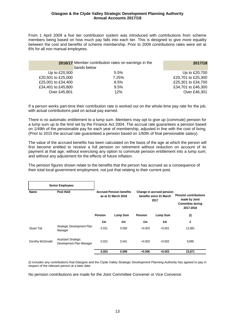From 1 April 2009 a five tier contribution system was introduced with contributions from scheme members being based on how much pay falls into each tier. This is designed to give more equality between the cost and benefits of scheme membership. Prior to 2009 contributions rates were set at 6% for all non manual employees.

|                    | 2016/17 Member contribution rates on earnings in the<br>bands below | 2017/18            |
|--------------------|---------------------------------------------------------------------|--------------------|
| Up to £20,500      | 5.5%                                                                | Up to £20,700      |
| £20,501 to £25,000 | 7.25%                                                               | £20,701 to £25,300 |
| £25,001 to £34,400 | $8.5\%$                                                             | £25,301 to £34,700 |
| £34,401 to £45,800 | 9.5%                                                                | £34,701 to £46,300 |
| Over £45,801       | 12%                                                                 | Over £46,301       |
|                    |                                                                     |                    |

If a person works part-time their contribution rate is worked out on the whole-time pay rate for the job, with actual contributions paid on actual pay earned.

There is no automatic entitlement to a lump sum. Members may opt to give up (commute) pension for a lump sum up to the limit set by the Finance Act 2004. The accrual rate guarantees a pension based on 1/49th of the pensionable pay for each year of membership, adjusted in line with the cost of living. (Prior to 2015 the accrual rate guaranteed a pension based on 1/60th of final pensionable salary).

The value of the accrued benefits has been calculated on the basis of the age at which the person will first become entitled to receive a full pension on retirement without reduction on account of its payment at that age; without exercising any option to commute pension entitlement into a lump sum; and without any adjustment for the effects of future inflation.

The pension figures shown relate to the benefits that the person has accrued as a consequence of their total local government employment, not just that relating to their current post.

|                    | <b>Senior Employees</b>                                |                                                                                                                        |          |                |          |                                                                                       |
|--------------------|--------------------------------------------------------|------------------------------------------------------------------------------------------------------------------------|----------|----------------|----------|---------------------------------------------------------------------------------------|
| Name               | Post Held                                              | <b>Accrued Pension benefits</b><br>Change in accrued pension<br>benefits since 31 March<br>as at 31 March 2018<br>2017 |          |                |          | <b>Pension contributions</b><br>made by Joint<br><b>Committee during</b><br>2017-2018 |
|                    |                                                        | <b>Pension</b>                                                                                                         | Lump Sum | <b>Pension</b> | Lump Sum | (i)                                                                                   |
|                    |                                                        | £m                                                                                                                     | £m       | £m             | £m       | £                                                                                     |
| <b>Stuart Tait</b> | Strategic Development Plan<br>Manager                  | 0.031                                                                                                                  | 0.058    | $+0.003$       | $+0.001$ | 13,981                                                                                |
| Dorothy McDonald   | <b>Assistant Strategic</b><br>Development Plan Manager | 0.022                                                                                                                  | 0.041    | $+0.003$       | $+0.002$ | 9,890                                                                                 |
|                    |                                                        | 0.053                                                                                                                  | 0.099    | $+0.006$       | $+0.003$ | 23,871                                                                                |

(i) includes any contributions that Glasgow and the Clyde Valley Strategic Development Planning Authority has agreed to pay in respect of the relevant person at a later date

No pension contributions are made for the Joint Committee Convener or Vice Convenor.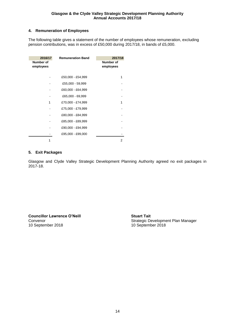### **4. Remuneration of Employees**

The following table gives a statement of the number of employees whose remuneration, excluding pension contributions, was in excess of £50,000 during 2017/18, in bands of £5,000.

| 2016/17<br>Number of<br>employees | <b>Remuneration Band</b> | 2017/18<br>Number of<br>employees |
|-----------------------------------|--------------------------|-----------------------------------|
|                                   | £50,000 - £54,999        |                                   |
|                                   | £55,000 - 59,999         |                                   |
|                                   | £60,000 - £64,999        |                                   |
|                                   | £65,000 - 69,999         |                                   |
| 1                                 | £70,000 - £74,999        |                                   |
|                                   | £75,000 - £79,999        |                                   |
|                                   | £80,000 - £84,999        |                                   |
|                                   | £85,000 - £89,999        |                                   |
|                                   | £90,000 - £94,999        |                                   |
|                                   | £95,000 - £99,000        |                                   |
|                                   |                          | 2                                 |

#### **5. Exit Packages**

Glasgow and Clyde Valley Strategic Development Planning Authority agreed no exit packages in 2017-18.

**Councillor Lawrence O'Neill Stuart Tait** 10 September 2018

Convenor Convenor Convenor Convenor Convenor Convenor Convenor Convented Convented Convention Convention Conve<br>
Strategic Development Plan Manager<br>
10 September 2018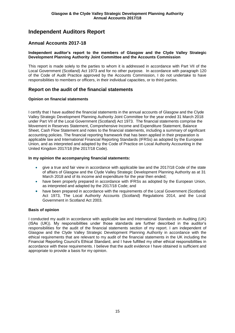# **Independent Auditors Report**

## **Annual Accounts 2017-18**

#### **Independent auditor's report to the members of Glasgow and the Clyde Valley Strategic Development Planning Authority Joint Committee and the Accounts Commission**

This report is made solely to the parties to whom it is addressed in accordance with Part VII of the Local Government (Scotland) Act 1973 and for no other purpose. In accordance with paragraph 120 of the Code of Audit Practice approved by the Accounts Commission, I do not undertake to have responsibilities to members or officers, in their individual capacities, or to third parties.

### **Report on the audit of the financial statements**

#### **Opinion on financial statements**

I certify that I have audited the financial statements in the annual accounts of Glasgow and the Clyde Valley Strategic Development Planning Authority Joint Committee for the year ended 31 March 2018 under Part VII of the Local Government (Scotland) Act 1973. The financial statements comprise the Movement in Reserves Statement, Comprehensive Income and Expenditure Statement, Balance Sheet, Cash Flow Statement and notes to the financial statements, including a summary of significant accounting policies. The financial reporting framework that has been applied in their preparation is applicable law and International Financial Reporting Standards (IFRSs) as adopted by the European Union, and as interpreted and adapted by the Code of Practice on Local Authority Accounting in the United Kingdom 2017/18 (the 2017/18 Code).

#### **In my opinion the accompanying financial statements:**

- give a true and fair view in accordance with applicable law and the 2017/18 Code of the state of affairs of Glasgow and the Clyde Valley Strategic Development Planning Authority as at 31 March 2018 and of its income and expenditure for the year then ended;
- have been properly prepared in accordance with IFRSs as adopted by the European Union, as interpreted and adapted by the 2017/18 Code; and
- have been prepared in accordance with the requirements of the Local Government (Scotland) Act 1973, The Local Authority Accounts (Scotland) Regulations 2014, and the Local Government in Scotland Act 2003.

#### **Basis of opinion**

I conducted my audit in accordance with applicable law and International Standards on Auditing (UK) (ISAs (UK)). My responsibilities under those standards are further described in the auditor's responsibilities for the audit of the financial statements section of my report. I am independent of Glasgow and the Clyde Valley Strategic Development Planning Authority in accordance with the ethical requirements that are relevant to my audit of the financial statements in the UK including the Financial Reporting Council's Ethical Standard, and I have fulfilled my other ethical responsibilities in accordance with these requirements. I believe that the audit evidence I have obtained is sufficient and appropriate to provide a basis for my opinion.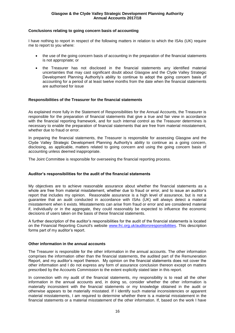#### **Conclusions relating to going concern basis of accounting**

I have nothing to report in respect of the following matters in relation to which the ISAs (UK) require me to report to you where:

- the use of the going concern basis of accounting in the preparation of the financial statements is not appropriate; or
- the Treasurer has not disclosed in the financial statements any identified material uncertainties that may cast significant doubt about Glasgow and the Clyde Valley Strategic Development Planning Authority's ability to continue to adopt the going concern basis of accounting for a period of at least twelve months from the date when the financial statements are authorised for issue

#### **Responsibilities of the Treasurer for the financial statements**

As explained more fully in the Statement of Responsibilities for the Annual Accounts, the Treasurer is responsible for the preparation of financial statements that give a true and fair view in accordance with the financial reporting framework, and for such internal control as the Treasurer determines is necessary to enable the preparation of financial statements that are free from material misstatement, whether due to fraud or error.

In preparing the financial statements, the Treasurer is responsible for assessing Glasgow and the Clyde Valley Strategic Development Planning Authority's ability to continue as a going concern, disclosing, as applicable, matters related to going concern and using the going concern basis of accounting unless deemed inappropriate.

The Joint Committee is responsible for overseeing the financial reporting process.

#### **Auditor's responsibilities for the audit of the financial statements**

My objectives are to achieve reasonable assurance about whether the financial statements as a whole are free from material misstatement, whether due to fraud or error, and to issue an auditor's report that includes my opinion. Reasonable assurance is a high level of assurance, but is not a guarantee that an audit conducted in accordance with ISAs (UK) will always detect a material misstatement when it exists. Misstatements can arise from fraud or error and are considered material if, individually or in the aggregate, they could reasonably be expected to influence the economic decisions of users taken on the basis of these financial statements.

A further description of the auditor's responsibilities for the audit of the financial statements is located on the Financial Reporting Council's website [www.frc.org.uk/auditorsresponsibilities.](https://www.frc.org.uk/Our-Work/Audit-and-Actuarial-Regulation/Audit-and-assurance/Standards-and-guidance/Standards-and-guidance-for-auditors/Auditors-responsibilities-for-audit/Description-of-auditors-responsibilities-for-audit.aspx) This description forms part of my auditor's report.

#### **Other information in the annual accounts**

The Treasurer is responsible for the other information in the annual accounts. The other information comprises the information other than the financial statements, the audited part of the Remuneration Report, and my auditor's report thereon. My opinion on the financial statements does not cover the other information and I do not express any form of assurance conclusion thereon except on matters prescribed by the Accounts Commission to the extent explicitly stated later in this report.

In connection with my audit of the financial statements, my responsibility is to read all the other information in the annual accounts and, in doing so, consider whether the other information is materially inconsistent with the financial statements or my knowledge obtained in the audit or otherwise appears to be materially misstated. If I identify such material inconsistencies or apparent material misstatements, I am required to determine whether there is a material misstatement in the financial statements or a material misstatement of the other information. If, based on the work I have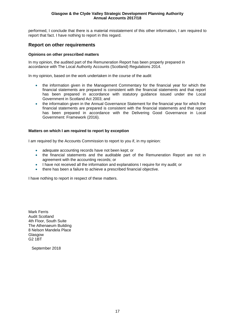performed, I conclude that there is a material misstatement of this other information, I am required to report that fact. I have nothing to report in this regard.

## **Report on other requirements**

#### **Opinions on other prescribed matters**

In my opinion, the audited part of the Remuneration Report has been properly prepared in accordance with The Local Authority Accounts (Scotland) Regulations 2014.

In my opinion, based on the work undertaken in the course of the audit

- the information given in the Management Commentary for the financial year for which the financial statements are prepared is consistent with the financial statements and that report has been prepared in accordance with statutory guidance issued under the Local Government in Scotland Act 2003; and
- the information given in the Annual Governance Statement for the financial year for which the financial statements are prepared is consistent with the financial statements and that report has been prepared in accordance with the Delivering Good Governance in Local Government: Framework (2016).

#### **Matters on which I am required to report by exception**

I am required by the Accounts Commission to report to you if, in my opinion:

- adequate accounting records have not been kept; or
- the financial statements and the auditable part of the Remuneration Report are not in agreement with the accounting records; or
- I have not received all the information and explanations I require for my audit; or
- there has been a failure to achieve a prescribed financial objective.

I have nothing to report in respect of these matters.

Mark Ferris Audit Scotland 4th Floor, South Suite The Athenaeum Building 8 Nelson Mandela Place Glasgow G2 1BT

September 2018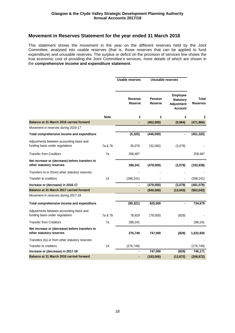### **Movement in Reserves Statement for the year ended 31 March 2018**

This statement shows the movement in the year on the different reserves held by the Joint Committee, analysed into usable reserves (that is, those reserves that can be applied to fund expenditure) and unusable reserves. The surplus or deficit on the provision of services line shows the true economic cost of providing the Joint Committee's services, more details of which are shown in the **comprehensive income and expenditure statement**.

|                                                                             |             | <b>Usable reserves</b>    | Unusable reserves         |                                                                            |                          |
|-----------------------------------------------------------------------------|-------------|---------------------------|---------------------------|----------------------------------------------------------------------------|--------------------------|
|                                                                             |             | Revenue<br><b>Reserve</b> | <b>Pension</b><br>Reserve | <b>Employee</b><br><b>Statutory</b><br><b>Adjustment</b><br><b>Account</b> | Total<br><b>Reserves</b> |
|                                                                             | <b>Note</b> | £                         | £                         | £                                                                          | £                        |
| Balance at 31 March 2016 carried forward                                    |             | ä,                        | (462,000)                 | (9,964)                                                                    | (471, 964)               |
| Movement in reserves during 2016-17                                         |             |                           |                           |                                                                            |                          |
| Total comprehensive income and expenditure                                  |             | (5, 325)                  | (446,000)                 |                                                                            | (451, 325)               |
| Adjustments between accounting basis and<br>funding basis under regulations | 7a & 7b     | 35,079                    | (32,000)                  | (3,079)                                                                    |                          |
| <b>Transfer from Creditors</b>                                              | 7a          | 258,487                   |                           |                                                                            | 258,487                  |
| Net increase or (decrease) before transfers to<br>other statutory reserves  |             | 288,241                   | (478,000)                 | (3,079)                                                                    | (192, 838)               |
| Transfers to or (from) other statutory reserves                             |             |                           |                           |                                                                            |                          |
| Transfer to creditors                                                       | 14          | (288, 241)                |                           |                                                                            | (288, 241)               |
| Increase or (decrease) in 2016-17                                           |             | $\blacksquare$            | (478,000)                 | (3,079)                                                                    | (481,079)                |
| Balance at 31 March 2017 carried forward                                    |             |                           | (940,000)                 | (13, 043)                                                                  | (953, 043)               |
| Movement in reserves during 2017-18                                         |             |                           |                           |                                                                            |                          |
| Total comprehensive income and expenditure                                  |             | (90, 321)                 | 825,000                   |                                                                            | 734,679                  |
| Adjustments between accounting basis and<br>funding basis under regulations | 7a & 7b     | 78,829                    | (78,000)                  | (829)                                                                      |                          |
| <b>Transfer from Creditors</b>                                              | 7a          | 288,241                   |                           |                                                                            | 288,241                  |
| Net increase or (decrease) before transfers to<br>other statutory reserves  |             | 276,749                   | 747,000                   | (829)                                                                      | 1,022,920                |
| Transfers (to) or from other statutory reserves                             |             |                           |                           |                                                                            |                          |
| Transfer to creditors                                                       | 14          | (276, 749)                |                           |                                                                            | (276, 749)               |
| Increase or (decrease) in 2017-18                                           |             |                           | 747,000                   | (829)                                                                      | 746,171                  |
| Balance at 31 March 2018 carried forward                                    |             |                           | (193,000)                 | (13, 872)                                                                  | (206, 872)               |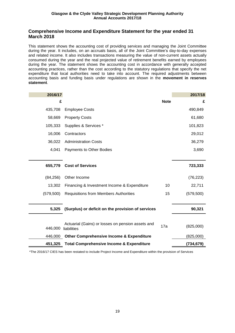## **Comprehensive Income and Expenditure Statement for the year ended 31 March 2018**

This statement shows the accounting cost of providing services and managing the Joint Committee during the year. It includes, on an accruals basis, all of the Joint Committee's day-to-day expenses and related income. It also includes transactions measuring the value of non-current assets actually consumed during the year and the real projected value of retirement benefits earned by employees during the year. The statement shows the accounting cost in accordance with generally accepted accounting practices, rather than the cost according to the statutory regulations that specify the net expenditure that local authorities need to take into account. The required adjustments between accounting basis and funding basis under regulations are shown in the **movement in reserves statement**.

| 2016/17    |                                                                  |             | 2017/18    |
|------------|------------------------------------------------------------------|-------------|------------|
| £          |                                                                  | <b>Note</b> | £          |
| 435,708    | <b>Employee Costs</b>                                            |             | 490,849    |
| 58,669     | <b>Property Costs</b>                                            |             | 61,680     |
| 105,333    | Supplies & Services *                                            |             | 101,823    |
| 16,006     | Contractors                                                      |             | 29,012     |
| 36,022     | <b>Administration Costs</b>                                      |             | 36,279     |
| 4,041      | Payments to Other Bodies                                         |             | 3,690      |
|            |                                                                  |             |            |
| 655,779    | <b>Cost of Services</b>                                          |             | 723,333    |
| (84, 256)  | Other Income                                                     |             | (76, 223)  |
| 13,302     | Financing & Investment Income & Expenditure                      | 10          | 22,711     |
| (579, 500) | <b>Requisitions from Members Authorities</b>                     | 15          | (579, 500) |
|            |                                                                  |             |            |
| 5,325      | (Surplus) or deficit on the provision of services                |             | 90,321     |
|            |                                                                  |             |            |
| 446,000    | Actuarial (Gains) or losses on pension assets and<br>liabilities | 17a         | (825,000)  |
| 446,000    | <b>Other Comprehensive Income &amp; Expenditure</b>              |             | (825,000)  |
| 451,325    | <b>Total Comprehensive Income &amp; Expenditure</b>              |             | (734,679)  |

\*The 2016/17 CIES has been restated to include Project Income and Expenditure within the provision of Services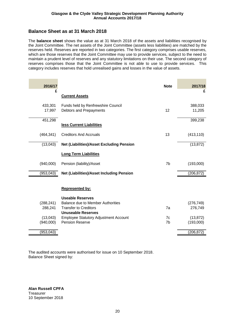## **Balance Sheet as at 31 March 2018**

The **balance sheet** shows the value as at 31 March 2018 of the assets and liabilities recognised by the Joint Committee. The net assets of the Joint Committee (assets less liabilities) are matched by the reserves held. Reserves are reported in two categories. The first category comprises usable reserves, which are those reserves that the Joint Committee may use to provide services, subject to the need to maintain a prudent level of reserves and any statutory limitations on their use. The second category of reserves comprises those that the Joint Committee is not able to use to provide services. This category includes reserves that hold unrealised gains and losses in the value of assets.

| 2016/17    |                                                  | <b>Note</b> | 2017/18    |
|------------|--------------------------------------------------|-------------|------------|
| £          | <b>Current Assets</b>                            |             | £          |
|            |                                                  |             |            |
| 433,301    | Funds held by Renfrewshire Council               |             | 388,033    |
| 17,997     | Debtors and Prepayments                          | 12          | 11,205     |
| 451,298    |                                                  |             | 399,238    |
|            | less Current Liabilities                         |             |            |
| (464, 341) | <b>Creditors And Accruals</b>                    | 13          | (413, 110) |
| (13,043)   | <b>Net (Liabilities)/Asset Excluding Pension</b> |             | (13, 872)  |
|            |                                                  |             |            |
|            | <b>Long Term Liabilities</b>                     |             |            |
| (940,000)  | Pension (liability)/Asset                        | 7b          | (193,000)  |
| (953, 043) | <b>Net (Liabilities)/Asset Including Pension</b> |             | (206, 872) |
|            |                                                  |             |            |
|            | <b>Represented by:</b>                           |             |            |
|            | <b>Useable Reserves</b>                          |             |            |
| (288, 241) | Balance due to Member Authorities                |             | (276, 749) |
| 288,241    | <b>Transfer to Creditors</b>                     | 7a          | 276,749    |
|            | <b>Unuseable Reserves</b>                        |             |            |
| (13,043)   | <b>Employee Statutory Adjustment Account</b>     | 7c          | (13, 872)  |
| (940,000)  | Pension Reserve                                  | 7b          | (193,000)  |
| (953, 043) |                                                  |             | (206, 872) |

The audited accounts were authorised for issue on 10 September 2018. Balance Sheet signed by:

**Alan Russell CPFA** Treasurer 10 September 2018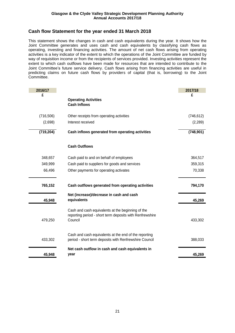## **Cash flow Statement for the year ended 31 March 2018**

This statement shows the changes in cash and cash equivalents during the year. It shows how the Joint Committee generates and uses cash and cash equivalents by classifying cash flows as operating, investing and financing activities. The amount of net cash flows arising from operating activities is a key indicator of the extent to which the operations of the Joint Committee are funded by way of requisition income or from the recipients of services provided. Investing activities represent the extent to which cash outflows have been made for resources that are intended to contribute to the Joint Committee's future service delivery. Cash flows arising from financing activities are useful in predicting claims on future cash flows by providers of capital (that is, borrowing) to the Joint Committee.

| 2016/17    |                                                                                                                          | 2017/18    |
|------------|--------------------------------------------------------------------------------------------------------------------------|------------|
| £          |                                                                                                                          | £          |
|            | <b>Operating Activities</b><br><b>Cash Inflows</b>                                                                       |            |
|            |                                                                                                                          |            |
| (716, 506) | Other receipts from operating activities                                                                                 | (746, 612) |
| (2,698)    | Interest received                                                                                                        | (2, 289)   |
| (719, 204) | Cash inflows generated from operating activities                                                                         | (748, 901) |
|            | <b>Cash Outflows</b>                                                                                                     |            |
| 348,657    | Cash paid to and on behalf of employees                                                                                  | 364,517    |
| 349,999    | Cash paid to suppliers for goods and services                                                                            | 359,315    |
| 66,496     | Other payments for operating activates                                                                                   | 70,338     |
| 765,152    | Cash outflows generated from operating activities                                                                        | 794,170    |
| 45,948     | Net (increase)/decrease in cash and cash<br>equivalents                                                                  | 45,269     |
| 479,250    | Cash and cash equivalents at the beginning of the<br>reporting period - short term deposits with Renfrewshire<br>Council | 433,302    |
| 433,302    | Cash and cash equivalents at the end of the reporting<br>period - short term deposits with Renfrewshire Council          | 388,033    |
| 45,948     | Net cash outflow in cash and cash equivalents in<br>year                                                                 | 45,269     |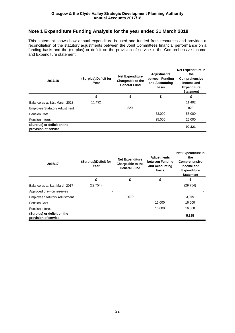# **Note 1 Expenditure Funding Analysis for the year ended 31 March 2018**

This statement shows how annual expenditure is used and funded from resources and provides a reconciliation of the statutory adjustments between the Joint Committees financial performance on a funding basis and the (surplus) or deficit on the provision of service in the Comprehensive Income and Expenditure statement.

| 2017/18                                             | (Surplus)/Deficit for<br>Year | <b>Net Expenditure</b><br>Chargeable to the<br><b>General Fund</b> | <b>Adjustments</b><br>between Funding<br>and Accounting<br>basis | Net Expenditure in<br>the<br>Comprehensive<br>Income and<br><b>Expenditure</b><br><b>Statement</b> |
|-----------------------------------------------------|-------------------------------|--------------------------------------------------------------------|------------------------------------------------------------------|----------------------------------------------------------------------------------------------------|
|                                                     | £                             | £                                                                  | £                                                                | £                                                                                                  |
| Balance as at 31st March 2018                       | 11,492                        |                                                                    |                                                                  | 11,492                                                                                             |
| <b>Employee Statutory Adjustment</b>                |                               | 829                                                                |                                                                  | 829                                                                                                |
| Pension Cost                                        |                               |                                                                    | 53,000                                                           | 53,000                                                                                             |
| <b>Pension Interest</b>                             |                               |                                                                    | 25,000                                                           | 25,000                                                                                             |
| (Surplus) or deficit on the<br>provision of service |                               |                                                                    |                                                                  | 90,321                                                                                             |

| 2016/17                                             | (Surplus)/Deficit for<br>Year | <b>Net Expenditure</b><br>Chargeable to the<br><b>General Fund</b> | <b>Adjustments</b><br>between Funding<br>and Accounting<br>basis | Net Expenditure in<br>the<br>Comprehensive<br>Income and<br><b>Expenditure</b><br><b>Statement</b> |
|-----------------------------------------------------|-------------------------------|--------------------------------------------------------------------|------------------------------------------------------------------|----------------------------------------------------------------------------------------------------|
|                                                     | £                             | £                                                                  | £                                                                | £                                                                                                  |
| Balance as at 31st March 2017                       | (29, 754)                     |                                                                    |                                                                  | (29, 754)                                                                                          |
| Approved draw on reserves                           |                               |                                                                    |                                                                  |                                                                                                    |
| <b>Employee Statutory Adjustment</b>                |                               | 3.079                                                              |                                                                  | 3,079                                                                                              |
| Pension Cost                                        |                               |                                                                    | 16,000                                                           | 16,000                                                                                             |
| <b>Pension Interest</b>                             |                               |                                                                    | 16,000                                                           | 16,000                                                                                             |
| (Surplus) or deficit on the<br>provision of service |                               |                                                                    |                                                                  | 5,325                                                                                              |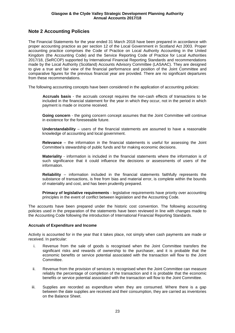# **Note 2 Accounting Policies**

The Financial Statements for the year ended 31 March 2018 have been prepared in accordance with proper accounting practice as per section 12 of the Local Government in Scotland Act 2003. Proper accounting practice comprises the Code of Practice on Local Authority Accounting in the United Kingdom (the Accounting Code) and the Service Reporting Code of Practice for Local Authorities 2017/18, (SeRCOP) supported by International Financial Reporting Standards and recommendations made by the Local Authority (Scotland) Accounts Advisory Committee (LASAAC). They are designed to give a true and fair view of the financial performance and position of the Joint Committee and comparative figures for the previous financial year are provided. There are no significant departures from these recommendations.

The following accounting concepts have been considered in the application of accounting policies:

**Accruals basis** - the accruals concept requires the non-cash effects of transactions to be included in the financial statement for the year in which they occur, not in the period in which payment is made or income received.

**Going concern** - the going concern concept assumes that the Joint Committee will continue in existence for the foreseeable future.

**Understandability** – users of the financial statements are assumed to have a reasonable knowledge of accounting and local government.

**Relevance** – the information in the financial statements is useful for assessing the Joint Committee's stewardship of public funds and for making economic decisions.

**Materiality** - information is included in the financial statements where the information is of such significance that it could influence the decisions or assessments of users of the information.

**Reliability** – information included in the financial statements faithfully represents the substance of transactions, is free from bias and material error, is complete within the bounds of materiality and cost, and has been prudently prepared.

**Primacy of legislative requirements** - legislative requirements have priority over accounting principles in the event of conflict between legislation and the Accounting Code.

The accounts have been prepared under the historic cost convention. The following accounting policies used in the preparation of the statements have been reviewed in line with changes made to the Accounting Code following the introduction of International Financial Reporting Standards.

#### **Accruals of Expenditure and Income**

Activity is accounted for in the year that it takes place, not simply when cash payments are made or received. In particular:

- i. Revenue from the sale of goods is recognised when the Joint Committee transfers the significant risks and rewards of ownership to the purchaser, and it is probable that the economic benefits or service potential associated with the transaction will flow to the Joint Committee.
- ii. Revenue from the provision of services is recognised when the Joint Committee can measure reliably the percentage of completion of the transaction and it is probable that the economic benefits or service potential associated with the transaction will flow to the Joint Committee.
- iii. Supplies are recorded as expenditure when they are consumed. Where there is a gap between the date supplies are received and their consumption, they are carried as inventories on the Balance Sheet.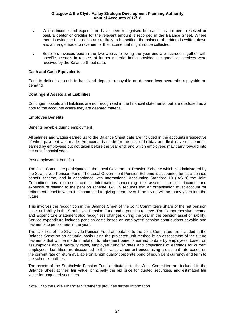- iv. Where income and expenditure have been recognised but cash has not been received or paid, a debtor or creditor for the relevant amount is recorded in the Balance Sheet. Where there is evidence that debts are unlikely to be settled, the balance of debtors is written down and a charge made to revenue for the income that might not be collected.
- v. Suppliers invoices paid in the two weeks following the year-end are accrued together with specific accruals in respect of further material items provided the goods or services were received by the Balance Sheet date.

#### **Cash and Cash Equivalents**

Cash is defined as cash in hand and deposits repayable on demand less overdrafts repayable on demand.

### **Contingent Assets and Liabilities**

Contingent assets and liabilities are not recognised in the financial statements, but are disclosed as a note to the accounts where they are deemed material.

### **Employee Benefits**

#### Benefits payable during employment

All salaries and wages earned up to the Balance Sheet date are included in the accounts irrespective of when payment was made. An accrual is made for the cost of holiday and flexi-leave entitlements earned by employees but not taken before the year end; and which employees may carry forward into the next financial year.

#### Post employment benefits

The Joint Committee participates in the Local Government Pension Scheme which is administered by the Strathclyde Pension Fund. The Local Government Pension Scheme is accounted for as a defined benefit scheme, and in accordance with International Accounting Standard 19 (IAS19) the Joint Committee has disclosed certain information concerning the assets, liabilities, income and expenditure relating to the pension scheme. IAS 19 requires that an organisation must account for retirement benefits when it is committed to giving them, even if the giving will be many years into the future.

This involves the recognition in the Balance Sheet of the Joint Committee's share of the net pension asset or liability in the Strathclyde Pension Fund and a pension reserve. The Comprehensive Income and Expenditure Statement also recognises changes during the year in the pension asset or liability. Service expenditure includes pension costs based on employers' pension contributions payable and payments to pensioners in the year.

The liabilities of the Strathclyde Pension Fund attributable to the Joint Committee are included in the Balance Sheet on an actuarial basis using the projected unit method ie an assessment of the future payments that will be made in relation to retirement benefits earned to date by employees, based on assumptions about mortality rates, employee turnover rates and projections of earnings for current employees. Liabilities are discounted to their value at current prices using a discount rate based on the current rate of return available on a high quality corporate bond of equivalent currency and term to the scheme liabilities.

The assets of the Strathclyde Pension Fund attributable to the Joint Committee are included in the Balance Sheet at their fair value, principally the bid price for quoted securities, and estimated fair value for unquoted securities.

Note 17 to the Core Financial Statements provides further information.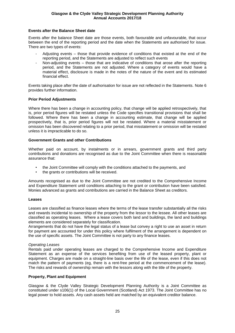#### **Events after the Balance Sheet date**

Events after the balance Sheet date are those events, both favourable and unfavourable, that occur between the end of the reporting period and the date when the Statements are authorised for issue. There are two types of events:

- Adjusting events those that provide evidence of conditions that existed at the end of the reporting period, and the Statements are adjusted to reflect such events
- Non-adjusting events those that are indicative of conditions that arose after the reporting period, and the Statements are not adjusted. Where a category of events would have a material effect, disclosure is made in the notes of the nature of the event and its estimated financial effect.

Events taking place after the date of authorisation for issue are not reflected in the Statements. Note 6 provides further information.

#### **Prior Period Adjustments**

Where there has been a change in accounting policy, that change will be applied retrospectively, that is, prior period figures will be restated unless the Code specifies transitional provisions that shall be followed. Where there has been a change in accounting estimate, that change will be applied prospectively, that is, prior period figures will not be restated. Where a material misstatement or omission has been discovered relating to a prior period, that misstatement or omission will be restated unless it is impracticable to do so.

#### **Government Grants and other Contributions**

Whether paid on account, by instalments or in arrears, government grants and third party contributions and donations are recognised as due to the Joint Committee when there is reasonable assurance that:

- the Joint Committee will comply with the conditions attached to the payments, and
- the grants or contributions will be received.

Amounts recognised as due to the Joint Committee are not credited to the Comprehensive Income and Expenditure Statement until conditions attaching to the grant or contribution have been satisfied. Monies advanced as grants and contributions are carried in the Balance Sheet as creditors.

#### **Leases**

Leases are classified as finance leases where the terms of the lease transfer substantially all the risks and rewards incidental to ownership of the property from the lessor to the lessee. All other leases are classified as operating leases. Where a lease covers both land and buildings, the land and buildings elements are considered separately for classification.

Arrangements that do not have the legal status of a lease but convey a right to use an asset in return for payment are accounted for under this policy where fulfilment of the arrangement is dependent on the use of specific assets. The Joint Committee is not party to any finance leases.

#### *Operating Leases*

Rentals paid under operating leases are charged to the Comprehensive Income and Expenditure Statement as an expense of the services benefiting from use of the leased property, plant or equipment. Charges are made on a straight-line basis over the life of the lease, even if this does not match the pattern of payments (eg, there is a rent-free period at the commencement of the lease). The risks and rewards of ownership remain with the lessors along with the title of the property.

#### **Property, Plant and Equipment**

Glasgow & the Clyde Valley Strategic Development Planning Authority is a Joint Committee as constituted under s106(1) of the Local Government (Scotland) Act 1973. The Joint Committee has no legal power to hold assets. Any cash assets held are matched by an equivalent creditor balance.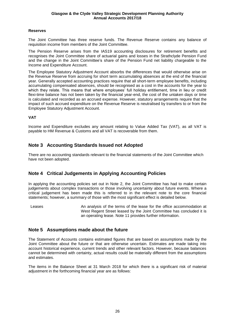### **Reserves**

The Joint Committee has three reserve funds. The Revenue Reserve contains any balance of requisition income from members of the Joint Committee.

The Pension Reserve arises from the IAS19 accounting disclosures for retirement benefits and recognises the Joint Committee share of actuarial gains and losses in the Strathclyde Pension Fund and the change in the Joint Committee's share of the Pension Fund net liability chargeable to the Income and Expenditure Account.

The Employee Statutory Adjustment Account absorbs the differences that would otherwise arise on the Revenue Reserve from accruing for short term accumulating absences at the end of the financial year. Generally accepted accounting practices require that all short-term employee benefits, including accumulating compensated absences, should be recognised as a cost in the accounts for the year to which they relate. This means that where employees' full holiday entitlement, time in lieu or credit flexi-time balance has not been taken by the financial year-end, the cost of the untaken days or time is calculated and recorded as an accrued expense. However, statutory arrangements require that the impact of such accrued expenditure on the Revenue Reserve is neutralised by transfers to or from the Employee Statutory Adjustment Account.

### **VAT**

Income and Expenditure excludes any amount relating to Value Added Tax (VAT), as all VAT is payable to HM Revenue & Customs and all VAT is recoverable from them.

## **Note 3 Accounting Standards Issued not Adopted**

There are no accounting standards relevant to the financial statements of the Joint Committee which have not been adopted.

## **Note 4 Critical Judgements in Applying Accounting Policies**

In applying the accounting policies set out in Note 2, the Joint Committee has had to make certain judgements about complex transactions or those involving uncertainty about future events. Where a critical judgement has been made this is referred to in the relevant note to the core financial statements; however, a summary of those with the most significant effect is detailed below.

Leases **An analysis of the terms of the lease for the office accommodation at** West Regent Street leased by the Joint Committee has concluded it is an operating lease. Note 11 provides further information.

## **Note 5 Assumptions made about the future**

The Statement of Accounts contains estimated figures that are based on assumptions made by the Joint Committee about the future or that are otherwise uncertain. Estimates are made taking into account historical experience, current trends and other relevant factors. However, because balances cannot be determined with certainty, actual results could be materially different from the assumptions and estimates.

The items in the Balance Sheet at 31 March 2018 for which there is a significant risk of material adjustment in the forthcoming financial year are as follows: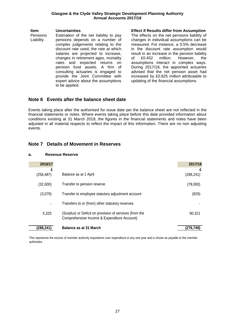| ltem      | Uncertainties                          |
|-----------|----------------------------------------|
| Pensions  | Estimation of the net liability to pay |
| Liability | pensions depends on a number of        |
|           | complex judgements relating to the     |
|           | discount rate used, the rate at which  |
|           | salaries are projected to increase,    |
|           | changes in retirement ages, mortality  |
|           | rates and expected returns<br>on       |
|           | pension fund assets. A firm of         |
|           | consulting actuaries is engaged to     |
|           | provide the Joint Committee with       |
|           | expert advice about the assumptions    |
|           | to be applied.                         |
|           |                                        |

**Incertainties Intervention Effect if Results differ from Assumption** The effects on the net pensions liability of changes in individual assumptions can be measured. For instance, a 0.5% decrease in the discount rate assumption would result in an increase in the pension liability of £0.452 million. However, the assumptions interact in complex ways. During 2017/18, the appointed actuaries advised that the net pension asset had increased by £0.825 million attributable to updating of the financial assumptions.

### **Note 6 Events after the balance sheet date**

Events taking place after the authorised for issue date per the balance sheet are not reflected in the financial statements or notes. Where events taking place before this date provided information about conditions existing at 31 March 2018, the figures in the financial statements and notes have been adjusted in all material respects to reflect the impact of this information. There are no non adjusting events.

## **Note 7 Details of Movement in Reserves**

#### **a. Revenue Reserve**

| 2016/17    |                                                                                                        | 2017/18    |
|------------|--------------------------------------------------------------------------------------------------------|------------|
| £          |                                                                                                        | £          |
| (258, 487) | Balance as at 1 April                                                                                  | (288, 241) |
| (32,000)   | Transfer to pension reserve                                                                            | (78,000)   |
| (3,079)    | Transfer to employee statutory adjustment account                                                      | (829)      |
|            | Transfers to or (from) other statutory reserves                                                        |            |
| 5.325      | (Surplus) or Deficit on provision of services (from the<br>Comprehensive Income & Expenditure Account) | 90.321     |
| (288,241)  | Balance as at 31 March                                                                                 | (276.749)  |

This represents the excess of member authority requisitions over expenditure in any one year and is shown as payable to the member authorities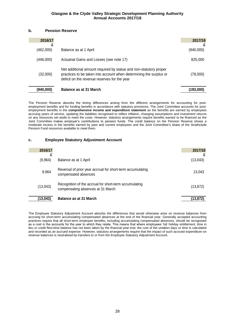#### **b. Pension Reserve**

| 2016/17   |                                                                                                                                                                                         | 2017/18   |
|-----------|-----------------------------------------------------------------------------------------------------------------------------------------------------------------------------------------|-----------|
| (462,000) | Balance as at 1 April                                                                                                                                                                   | (940,000) |
| (446,000) | Actuarial Gains and Losses (see note 17)                                                                                                                                                | 825,000   |
| (32,000)  | Net additional amount required by statue and non-statutory proper<br>practices to be taken into account when determining the surplus or<br>deficit on the revenue reserves for the year | (78,000)  |
| (940.000) | <b>Balance as at 31 March</b>                                                                                                                                                           | (193,000) |

The Pension Reserve absorbs the timing differences arising from the different arrangements for accounting for postemployment benefits and for funding benefits in accordance with statutory provisions. The Joint Committee accounts for postemployment benefits in the **comprehensive income and expenditure statement** as the benefits are earned by employees accruing years of service, updating the liabilities recognised to reflect inflation, changing assumptions and investment returns on any resources set aside to meet the costs. However, statutory arrangements require benefits earned to be financed as the Joint Committee makes employer's contributions to pension funds. The credit balance on the Pension Reserve shows a moderate excess in the benefits earned by past and current employees and the Joint Committee's share of the Strathclyde Pension Fund resources available to meet them.

#### **c. Employee Statutory Adjustment Account**

| 2016/17   |                                                                                             | 2017/18   |
|-----------|---------------------------------------------------------------------------------------------|-----------|
| (9,964)   | Balance as at 1 April                                                                       | (13,043)  |
| 9,964     | Reversal of prior year accrual for short-term accumulating<br>compensated absences          | 13.043    |
| (13,043)  | Recognition of the accrual for short-term accumulating<br>compensating absences at 31 March | (13, 872) |
| (13, 043) | Balance as at 31 March                                                                      | (13,872)  |

The Employee Statutory Adjustment Account absorbs the differences that would otherwise arise on revenue balances from accruing for short-term accumulating compensated absences at the end of the financial year. Generally accepted accounting practices require that all short-term employee benefits, including accumulating compensated absences, should be recognised as a cost in the accounts for the year to which they relate. This means that where employees' full holiday entitlement, time in lieu or credit flexi-time balance has not been taken by the financial year-end, the cost of the untaken days or time is calculated and recorded as an accrued expense. However, statutory arrangements require that the impact of such accrued expenditure on revenue balances is neutralised by transfers to or from the Employee Statutory Adjustment Account.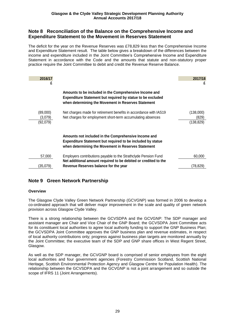### **Note 8 Reconciliation of the Balance on the Comprehensive Income and Expenditure Statement to the Movement in Reserves Statement**

The deficit for the year on the Revenue Reserves was £78,829 less than the Comprehensive Income and Expenditure Statement result. The table below gives a breakdown of the differences between the income and expenditure included in the Joint Committee's Comprehensive Income and Expenditure Statement in accordance with the Code and the amounts that statute and non-statutory proper practice require the Joint Committee to debit and credit the Revenue Reserve Balance.

| 2016/17<br>£                    |                                                                                                                                                                                     | 2017/18<br>£                     |
|---------------------------------|-------------------------------------------------------------------------------------------------------------------------------------------------------------------------------------|----------------------------------|
|                                 | Amounts to be included in the Comprehensive Income and<br><b>Expenditure Statement but required by statue to be excluded</b><br>when determining the Movement in Reserves Statement |                                  |
| (89,000)<br>(3,079)<br>(92,079) | Net charges made for retirement benefits in accordance with IAS19<br>Net charges for employment short-term accumulating absences                                                    | (138,000)<br>(829)<br>(138, 829) |
|                                 | Amounts not included in the Comprehensive Income and<br><b>Expenditure Statement but required to be included by statue</b><br>when determining the Movement in Reserves Statement   |                                  |
| 57,000                          | Employers contributions payable to the Strathclyde Pension Fund<br>Net additional amount required to be debited or credited to the                                                  | 60,000                           |
| (35,079)                        | Revenue Reserves balance for the year                                                                                                                                               | (78.829)                         |

## **Note 9 Green Network Partnership**

#### **Overview**

The Glasgow Clyde Valley Green Network Partnership (GCVGNP) was formed in 2006 to develop a co-ordinated approach that will deliver major improvement in the scale and quality of green network provision across Glasgow Clyde Valley.

There is a strong relationship between the GCVSDPA and the GCVGNP: The SDP manager and assistant manager are Chair and Vice Chair of the GNP Board; the GCVSDPA Joint Committee acts for its constituent local authorities to agree local authority funding to support the GNP Business Plan: the GCVSDPA Joint Committee approves the GNP business plan and revenue estimates, in respect of local authority contributions only; progress against business plan targets are monitored annually by the Joint Committee; the executive team of the SDP and GNP share offices in West Regent Street, Glasgow.

As well as the SDP manager, the GCVGNP board is comprised of senior employees from the eight local authorities and four government agencies (Forestry Commission Scotland, Scottish National Heritage, Scottish Environmental Protection Agency and Glasgow Centre for Population Health). The relationship between the GCVSDPA and the GCVGNP is not a joint arrangement and so outside the scope of IFRS 11 (Joint Arrangements).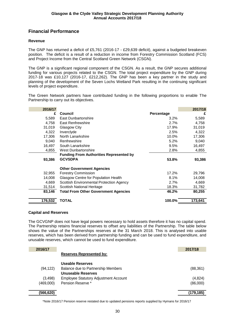# **Financial Performance**

### **Revenue**

The GNP has returned a deficit of £5,761 (2016-17 - £29,639 deficit), against a budgeted breakeven position. The deficit is a result of a reduction in income from Forestry Commission Scotland (FCS) and Project Income from the Central Scotland Green Network (CSGN).

The GNP is a significant regional component of the CSGN. As a result, the GNP secures additional funding for various projects related to the CSGN. The total project expenditure by the GNP during 2017-18 was £10,127 (2016-17, £212,262). The GNP has been a key partner in the study and planning of the development of the Seven Lochs Wetland Park resulting in the continuing significant levels of project expenditure.

The Green Network partners have contributed funding in the following proportions to enable The Partnership to carry out its objectives.

| 2016/17 |                                                |                   | 2017/18 |
|---------|------------------------------------------------|-------------------|---------|
| £       | Council                                        | <b>Percentage</b> | £       |
| 5,589   | East Dunbartonshire                            | 3.2%              | 5,589   |
| 4,758   | <b>East Renfrewshire</b>                       | 2.7%              | 4,758   |
| 31,019  | Glasgow City                                   | 17.9%             | 31,019  |
| 4,322   | Inverclyde                                     | 2.5%              | 4,322   |
| 17,306  | North Lanarkshire                              | 10.0%             | 17,306  |
| 9,040   | Renfrewshire                                   | 5.2%              | 9,040   |
| 16,497  | South Lanarkshire                              | 9.5%              | 16,497  |
| 4.855   | West Dunbartonshire                            | 2.8%              | 4,855   |
|         | <b>Funding From Authorities Represented by</b> |                   |         |
| 93,386  | <b>GCVSDPA</b>                                 | 53.8%             | 93,386  |
|         | <b>Other Government Agencies</b>               |                   |         |
| 32,955  | <b>Forestry Commission</b>                     | 17.2%             | 29,796  |
| 14,008  | Glasgow Centre for Population Health           | 8.1%              | 14,008  |
| 4,669   | Scottish Environmental Protection Agency       | 2.7%              | 4,669   |
| 31,514  | Scottish National Heritage                     | 18.3%             | 31,782  |
| 83,146  | <b>Total From Other Government Agencies</b>    | 46.2%             | 80,255  |
| 176,532 | <b>TOTAL</b>                                   | 100.0%            | 173,641 |

#### **Capital and Reserves**

The GCVGNP does not have legal powers necessary to hold assets therefore it has no capital spend. The Partnership retains financial reserves to offset any liabilities of the Partnership. The table below shows the value of the Partnerships reserves at the 31 March 2018. This is analysed into usable reserves, which has been derived from partnership funding and can be used to fund expenditure, and unusable reserves, which cannot be used to fund expenditure.

| 2016/17   |                                              | 2017/18   |
|-----------|----------------------------------------------|-----------|
|           | <b>Reserves Represented by:</b>              |           |
|           | Useable Reserves                             |           |
| (94, 122) | Balance due to Partnership Members           | (88, 361) |
|           | <b>Unuseable Reserves</b>                    |           |
| (3, 498)  | <b>Employee Statutory Adjustment Account</b> | (4,824)   |
| (469,000) | Pension Reserve *                            | (86,000)  |
|           |                                              |           |
| (566,620) |                                              | (179.185) |

\*Note 2016/17 Pension reserve restated due to updated pensions reports supplied by Hymans for 2016/17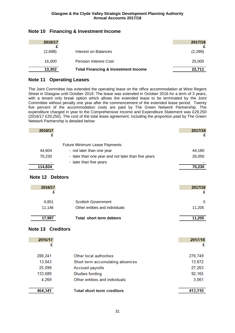| 2016/17 |                                                | 2017/18 |
|---------|------------------------------------------------|---------|
| (2,698) | Interest on Balances                           | (2,289) |
| 16.000  | <b>Pension Interest Cost</b>                   | 25,000  |
| 13,302  | <b>Total Financing &amp; Investment Income</b> | 22.711  |

# **Note 10 Financing & Investment Income**

## **Note 11 Operating Leases**

The Joint Committee has extended the operating lease on the office accommodation at West Regent Street in Glasgow until October 2019. The lease was extended in October 2016 for a term of 3 years, with a tenant only break option which allows the extended lease to be terminated by the Joint Committee without penalty one year after the commencement of the extended lease period. Twenty five percent of the accommodation costs are paid by The Green Network Partnership. The expenditure charged in year to the Comprehensive Income and Expenditure Statement was £29,250 (2016/17 £29,250). The cost of the total lease agreement, including the proportion paid by The Green Network Partnership is detailed below:

| 2016/17 |                                                     | 2017/18 |
|---------|-----------------------------------------------------|---------|
|         |                                                     |         |
|         | <b>Future Minimum Lease Payments</b>                |         |
| 44,604  | - not later than one year                           | 44,180  |
| 70,230  | - later than one year and not later than five years | 26,050  |
|         | - later than five years                             |         |
| 114,834 |                                                     | 70,230  |

## **Note 12 Debtors**

| 2016/17 |                                | 2017/18 |
|---------|--------------------------------|---------|
| 6,851   | Scottish Government            | 0       |
| 11.146  | Other entities and individuals | 11,205  |
| 17,997  | Total short term debtors       | 11.205  |

## **Note 13 Creditors**

| 2016/17 |                                   | 2017/18 |
|---------|-----------------------------------|---------|
| £       |                                   | £       |
| 288,241 | Other local authorities           | 276,749 |
| 13,043  | Short term accumulating absences  | 13,872  |
| 25,099  | Accrued payrolls                  | 27,263  |
| 133,689 | Studies funding                   | 92,165  |
| 4,269   | Other entities and individuals    | 3,061   |
| 464,341 | <b>Total short term creditors</b> | 413,110 |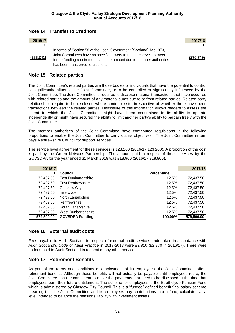# **Note 14 Transfer to Creditors**

| 2016/17    |                                                                                                                                                                                                                                                          | 2017/18    |
|------------|----------------------------------------------------------------------------------------------------------------------------------------------------------------------------------------------------------------------------------------------------------|------------|
|            |                                                                                                                                                                                                                                                          |            |
| (288, 241) | In terms of Section 58 of the Local Government (Scotland) Act 1973,<br>Joint Committees have no specific powers to retain reserves to meet<br>future funding requirements and the amount due to member authorities<br>has been transferred to creditors. | (276, 749) |

### **Note 15 Related parties**

The Joint Committee's related parties are those bodies or individuals that have the potential to control or significantly influence the Joint Committee, or to be controlled or significantly influenced by the Joint Committee. The Joint Committee is required to disclose material transactions that have occurred with related parties and the amount of any material sums due to or from related parties. Related party relationships require to be disclosed where control exists, irrespective of whether there have been transactions between the related parties. Disclosure of this information allows readers to assess the extent to which the Joint Committee might have been constrained in its ability to operate independently or might have secured the ability to limit another party's ability to bargain freely with the Joint Committee.

The member authorities of the Joint Committee have contributed requisitions in the following proportions to enable the Joint Committee to carry out its objectives. The Joint Committee in turn pays Renfrewshire Council for support services.

The service level agreement for these services is £23,200 (2016/17 £23,200). A proportion of the cost is paid by the Green Network Partnership. The amount paid in respect of these services by the GCVSDPA for the year ended 31 March 2018 was £18,900 (2016/17 £18,900).

| 2016/17    |                        |            | 2017/18    |
|------------|------------------------|------------|------------|
| £          | Council                | Percentage | £          |
| 72,437.50  | East Dunbartonshire    | 12.5%      | 72,437.50  |
| 72,437.50  | East Renfrewshire      | 12.5%      | 72,437.50  |
| 72,437.50  | Glasgow City           | 12.5%      | 72,437.50  |
| 72,437.50  | Inverclyde             | 12.5%      | 72,437.50  |
| 72,437.50  | North Lanarkshire      | 12.5%      | 72,437.50  |
| 72,437.50  | Renfrewshire           | 12.5%      | 72,437.50  |
| 72,437.50  | South Lanarkshire      | 12.5%      | 72,437.50  |
| 72,437.50  | West Dunbartonshire    | 12.5%      | 72,437.50  |
| 579,500.00 | <b>GCVSDPA Funding</b> | 100.00%    | 579,500.00 |

## **Note 16 External audit costs**

Fees payable to Audit Scotland in respect of external audit services undertaken in accordance with Audit Scotland's *Code of Audit Practice* in 2017-2018 were £2,810 (£2,770 in 2016/17). There were no fees paid to Audit Scotland in respect of any other services.

## **Note 17 Retirement Benefits**

As part of the terms and conditions of employment of its employees, the Joint Committee offers retirement benefits. Although these benefits will not actually be payable until employees retire, the Joint Committee has a commitment to make the payments that need to be disclosed at the time that employees earn their future entitlement. The scheme for employees is the Strathclyde Pension Fund which is administered by Glasgow City Council. This is a "funded" defined benefit final salary scheme meaning that the Joint Committee and its employees pay contributions into a fund, calculated at a level intended to balance the pensions liability with investment assets.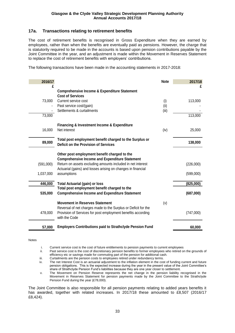### **17a. Transactions relating to retirement benefits**

The cost of retirement benefits is recognised in Gross Expenditure when they are earned by employees, rather than when the benefits are eventually paid as pensions. However, the charge that is statutorily required to be made in the accounts is based upon pension contributions payable by the Joint Committee in the year, and an adjustment is made within the Movement in Reserves Statement to replace the cost of retirement benefits with employers' contributions.

The following transactions have been made in the accounting statements in 2017-2018:

| 2016/17   |                                                                                                                                                                                          | <b>Note</b> | 2017/18   |
|-----------|------------------------------------------------------------------------------------------------------------------------------------------------------------------------------------------|-------------|-----------|
| £         | <b>Comprehensive Income &amp; Expenditure Statement</b><br><b>Cost of Services</b>                                                                                                       |             | £         |
| 73,000    | Current service cost<br>Past service cost/(gain)                                                                                                                                         | (i)<br>(ii) | 113,000   |
| 73,000    | Settlements & curtailments                                                                                                                                                               | (iii)       | 113,000   |
| 16,000    | <b>Financing &amp; Investment Income &amp; Expenditure</b><br>Net interest                                                                                                               | (iv)        | 25,000    |
| 89,000    | Total post employment benefit charged to the Surplus or<br>Deficit on the Provision of Services                                                                                          |             | 138,000   |
|           | Other post employment benefit charged to the<br><b>Comprehensive Income and Expenditure Statement</b>                                                                                    |             |           |
| (591,000) | Return on assets excluding amounts included in net interest<br>Actuarial (gains) and losses arising on changes in financial                                                              |             | (226,000) |
| 1,037,000 | assumptions                                                                                                                                                                              |             | (599,000) |
| 446,000   | <b>Total Actuarial (gain) or loss</b>                                                                                                                                                    |             | (825,000) |
| 535,000   | Total post employment benefit charged to the<br><b>Comprehensive Income and Expenditure Statement</b>                                                                                    |             | (687,000) |
| 478,000   | <b>Movement in Reserves Statement</b><br>Reversal of net charges made to the Surplus or Deficit for the<br>Provision of Services for post employment benefits according<br>with the Code | (v)         | (747,000) |
| 57,000    | <b>Employers Contributions paid to Strathclyde Pension Fund</b>                                                                                                                          |             | 60,000    |

Notes

i. Current service cost is the cost of future entitlements to pension payments to current employees

ii. Past service cost is the cost of discretionary pension benefits to former employees who retired on the grounds of efficiency etc or savings made for commuting part of the pension for additional cash.

iii. Curtailments are the pension costs to employees retired under redundancy terms.<br>iv. The net Interest Cost is an actuarial adjustment to the inflation element in the cos

The net Interest Cost is an actuarial adjustment to the inflation element in the cost of funding current and future pension obligations. This is the expected increase during the year in the present value of the Joint Committee's share of Strathclyde Pension Fund's liabilities because they are one year closer to settlement.

v. The Movement on Pension Reserve represents the net change in the pension liability recognised in the Movement in Reserves Statement for pension payments made by the Joint Committee to the Strathclyde Pension Fund during the year (£78,000).

The Joint Committee is also responsible for all pension payments relating to added years benefits it has awarded, together with related increases. In 2017/18 these amounted to £8,507 (2016/17 £8,424).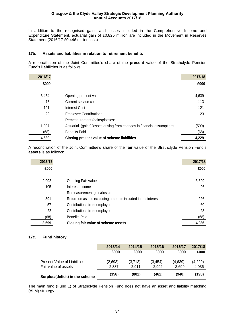In addition to the recognised gains and losses included in the Comprehensive Income and Expenditure Statement, actuarial gain of £0.825 million are included in the Movement in Reserves Statement (2016/17 £0.446 million loss).

#### **17b. Assets and liabilities in relation to retirement benefits**

A reconciliation of the Joint Committee's share of the **present** value of the Strathclyde Pension Fund's **liabilities** is as follows:

| 2016/17 |                                                                        | 2017/18 |
|---------|------------------------------------------------------------------------|---------|
| £000    |                                                                        | £000    |
| 3,454   | Opening present value                                                  | 4,639   |
| 73      | Current service cost                                                   | 113     |
| 121     | <b>Interest Cost</b>                                                   | 121     |
| 22      | <b>Employee Contributions</b>                                          | 23      |
|         | Remeasurement (gains)/losses:                                          |         |
| 1,037   | Actuarial (gains)/losses arising from changes in financial assumptions | (599)   |
| (68)    | <b>Benefits Paid</b>                                                   | (68)    |
| 4,639   | Closing present value of scheme liabilities                            | 4,229   |

A reconciliation of the Joint Committee's share of the **fair** value of the Strathclyde Pension Fund's **assets** is as follows:

| 2016/17 |                                                             | 2017/18 |
|---------|-------------------------------------------------------------|---------|
| £000    |                                                             | £000    |
|         |                                                             |         |
| 2,992   | Opening Fair Value                                          | 3,699   |
| 105     | Interest Income                                             | 96      |
|         | Remeasurement gain/(loss):                                  |         |
| 591     | Return on assets excluding amounts included in net interest | 226     |
| 57      | Contributions from employer                                 | 60      |
| 22      | Contributions from employee                                 | 23      |
| (68)    | <b>Benefits Paid</b>                                        | (68)    |
| 3,699   | Closing fair value of scheme assets                         | 4,036   |

### **17c. Fund history**

|                                     | 2013/14 | 2014/15 | 2015/16  | 2016/17 | 2017/18 |
|-------------------------------------|---------|---------|----------|---------|---------|
|                                     | £000    | £000    | £000     | £000    | £000    |
| <b>Present Value of Liabilities</b> | (2,693) | (3,713) | (3, 454) | (4,639) | (4,229) |
| Fair value of assets                | 2.337   | 2.911   | 2.992    | 3.699   | 4,036   |
| Surplus/(deficit) in the scheme     | (356)   | (802)   | (462)    | (940)   | (193)   |

The main fund (Fund 1) of Strathclyde Pension Fund does not have an asset and liability matching (ALM) strategy.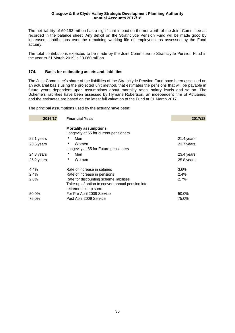The net liability of £0.193 million has a significant impact on the net worth of the Joint Committee as recorded in the balance sheet. Any deficit on the Strathclyde Pension Fund will be made good by increased contributions over the remaining working life of employees, as assessed by the Fund actuary.

The total contributions expected to be made by the Joint Committee to Strathclyde Pension Fund in the year to 31 March 2019 is £0.060 million.

### **17d. Basis for estimating assets and liabilities**

The Joint Committee's share of the liabilities of the Strathclyde Pension Fund have been assessed on an actuarial basis using the projected unit method, that estimates the pensions that will be payable in future years dependent upon assumptions about mortality rates, salary levels and so on. The Scheme's liabilities have been assessed by Hymans Robertson, an independent firm of Actuaries, and the estimates are based on the latest full valuation of the Fund at 31 March 2017.

The principal assumptions used by the actuary have been:

| 2016/17    | <b>Financial Year:</b>                                                   | 2017/18    |
|------------|--------------------------------------------------------------------------|------------|
|            | <b>Mortality assumptions</b><br>Longevity at 65 for current pensioners   |            |
| 22.1 years | Men                                                                      | 21.4 years |
| 23.6 years | Women                                                                    | 23.7 years |
|            | Longevity at 65 for Future pensioners                                    |            |
| 24.8 years | Men                                                                      | 23.4 years |
| 26.2 years | Women<br>٠                                                               | 25.8 years |
| 4.4%       | Rate of increase in salaries                                             | 3.6%       |
| 2.4%       | Rate of increase in pensions                                             | 2.4%       |
| 2.6%       | Rate for discounting scheme liabilities                                  | 2.7%       |
|            | Take-up of option to convert annual pension into<br>retirement lump sum: |            |
| 50.0%      | For Pre April 2009 Service                                               | 50.0%      |
| 75.0%      | Post April 2009 Service                                                  | 75.0%      |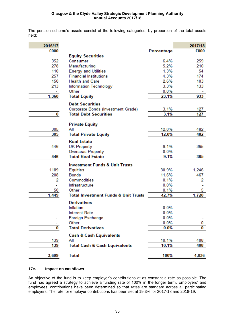The pension scheme's assets consist of the following categories, by proportion of the total assets held:

| 2016/17 |                                                 |                | 2017/18    |
|---------|-------------------------------------------------|----------------|------------|
| £000    |                                                 | Percentage     | £000       |
|         | <b>Equity Securities</b>                        |                |            |
| 352     | Consumer                                        | 6.4%           | 259        |
| 278     | Manufacturing                                   | 5.2%           | 210        |
| 110     | <b>Energy and Utilities</b>                     | 1.3%           | 54         |
| 257     | <b>Financial Institutions</b>                   | 4.3%           | 174        |
| 150     | <b>Health and Care</b>                          | 2.6%           | 103        |
| 213     | <b>Information Technology</b>                   | 3.3%           | 133        |
|         | Other                                           | 0.0%           |            |
| 1,360   | <b>Total Equity</b>                             | 23.1%          | 933        |
|         | <b>Debt Securities</b>                          |                |            |
|         | Corporate Bonds (Investment Grade)              | 3.1%           | 127        |
| 0       | <b>Total Debt Securities</b>                    | 3.1%           | 127        |
|         |                                                 |                |            |
|         | <b>Private Equity</b><br>All                    |                |            |
| 305     |                                                 | 12.0%<br>12.0% | 482<br>482 |
| 305     | <b>Total Private Equity</b>                     |                |            |
|         | <b>Real Estate</b>                              |                |            |
| 446     | <b>UK Property</b>                              | 9.1%           | 365        |
|         | Overseas Property<br><b>Total Real Estate</b>   | 0.0%           |            |
| 446     |                                                 | 9.1%           | 365        |
|         | <b>Investment Funds &amp; Unit Trusts</b>       |                |            |
| 1189    | Equities                                        | 30.9%          | 1,246      |
| 208     | <b>Bonds</b>                                    | 11.6%          | 467        |
| 2       | Commodities                                     | 0.1%           | 2          |
|         | Infrastructure                                  | 0.0%           |            |
| 50      | Other                                           | 0.1%           | 5          |
| 1,449   | <b>Total Investment Funds &amp; Unit Trusts</b> | 42.7%          | 1,720      |
|         | <b>Derivatives</b>                              |                |            |
|         | Inflation                                       | 0.0%           |            |
|         | <b>Interest Rate</b>                            | 0.0%           |            |
|         | Foreign Exchange                                | 0.0%           |            |
|         | Other                                           | 0.0%           | 0          |
| 0       | <b>Total Derivatives</b>                        | 0.0%           | 0          |
|         | <b>Cash &amp; Cash Equivalents</b>              |                |            |
| 139     | All                                             | 10.1%          | 408        |
| 139     | <b>Total Cash &amp; Cash Equivalents</b>        | 10.1%          | 408        |
| 3,699   | <b>Total</b>                                    | 100%           | 4,036      |

#### **17e. Impact on cashflows**

An objective of the fund is to keep employer's contributions at as constant a rate as possible. The fund has agreed a strategy to achieve a funding rate of 100% in the longer term. Employers' and employees' contributions have been determined so that rates are standard across all participating employers. The rate for employer contributions has been set at 19.3% for 2017-18 and 2018-19.